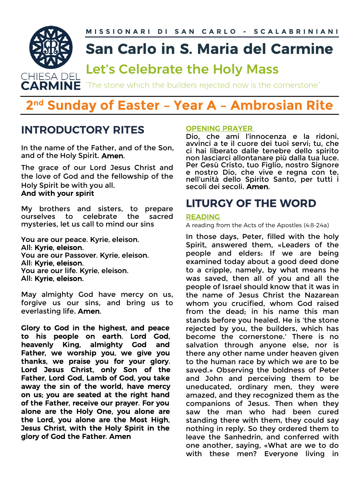

### 2 Sunday of Easter - Year A - Ambrosian Rite

# INTRODUCTORY RITES

In the name of the Father, and of the Son, and of the Holy Spirit. **Amen.** 

The grace of our Lord Jesus Christ and the love of God and the fellowship of the Holy Spirit be with you all.

# And with your spirit

My brothers and sisters, to prepare ourselves to celebrate the sacred mysteries, let us call to mind our sins

You are our peace. Kyrie, eleison. All: Kyrie, eleison. You are our Passover. Kyrie, eleison. All: Kyrie, eleison. You are our life. Kyrie, eleison. All: Kyrie, eleison.

May almighty God have mercy on us, forgive us our sins, and bring us to everlasting life. Amen.

Glory to God in the highest, and peace to his people on earth. Lord God, heavenly King, almighty God and Father, we worship you, we give you thanks, we praise you for your glory. Lord Jesus Christ, only Son of the Father, Lord God, Lamb of God, you take away the sin of the world, have mercy on us; you are seated at the right hand of the Father, receive our prayer. For you alone are the Holy One, you alone are the Lord, you alone are the Most High, Jesus Christ, with the Holy Spirit in the glory of God the Father. Amen

# OPENING PRAYER

Dio, che ami l'innocenza e la ridoni, avvinci a te il cuore dei tuoi servi; tu, che ci hai liberato dalle tenebre dello spirito non lasciarci allontanare più dalla tua luce. Per Gesù Cristo, tuo Figlio, nostro Signore e nostro Dio, che vive e regna con te, nell'unità dello Spirito Santo, per tutti i secoli dei secoli. **Amen.** 

# LITURGY OF THE WORD

# READING

A reading from the Acts of the Apostles (4:8-24a)

In those days, Peter, filled with the holy Spirit, answered them, «Leaders of the people and elders: If we are being examined today about a good deed done to a cripple, namely, by what means he was saved, then all of you and all the people of Israel should know that it was in the name of Jesus Christ the Nazarean whom you crucified, whom God raised from the dead; in his name this man stands before you healed. He is 'the stone rejected by you, the builders, which has become the cornerstone.' There is no salvation through anyone else, nor is there any other name under heaven given to the human race by which we are to be saved.» Observing the boldness of Peter and John and perceiving them to be uneducated, ordinary men, they were amazed, and they recognized them as the companions of Jesus. Then when they saw the man who had been cured standing there with them, they could say nothing in reply. So they ordered them to leave the Sanhedrin, and conferred with one another, saying, «What are we to do with these men? Everyone living in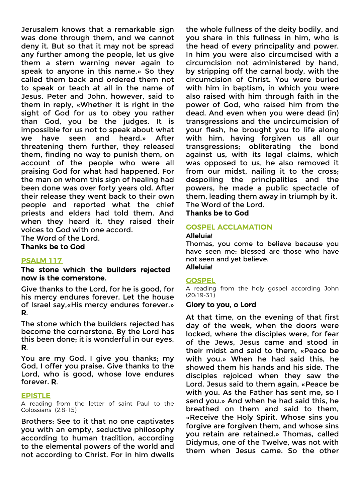Jerusalem knows that a remarkable sign was done through them, and we cannot deny it. But so that it may not be spread any further among the people, let us give them a stern warning never again to speak to anyone in this name.» So they called them back and ordered them not to speak or teach at all in the name of Jesus. Peter and John, however, said to them in reply, «Whether it is right in the sight of God for us to obey you rather than God, you be the judges. It is impossible for us not to speak about what we have seen and heard.» After threatening them further, they released them, finding no way to punish them, on account of the people who were all praising God for what had happened. For the man on whom this sign of healing had been done was over forty years old. After their release they went back to their own people and reported what the chief priests and elders had told them. And when they heard it, they raised their voices to God with one accord. The Word of the Lord.

Thanks be to God

# PSALM 117

### The stone which the builders rejected now is the cornerstone.

Give thanks to the Lord, for he is good, for his mercy endures forever. Let the house of Israel say,«His mercy endures forever.» R.

The stone which the builders rejected has become the cornerstone. By the Lord has this been done; it is wonderful in our eyes. R.

You are my God, I give you thanks; my God, I offer you praise. Give thanks to the Lord, who is good, whose love endures forever. R.

#### EPISTLE

A reading from the letter of saint Paul to the Colossians (2:8-15)

Brothers: See to it that no one captivates you with an empty, seductive philosophy according to human tradition, according to the elemental powers of the world and not according to Christ. For in him dwells the whole fullness of the deity bodily, and you share in this fullness in him, who is the head of every principality and power. In him you were also circumcised with a circumcision not administered by hand, by stripping off the carnal body, with the circumcision of Christ. You were buried with him in baptism, in which you were also raised with him through faith in the power of God, who raised him from the dead. And even when you were dead (in) transgressions and the uncircumcision of your flesh, he brought you to life along with him, having forgiven us all our transgressions; obliterating the bond against us, with its legal claims, which was opposed to us, he also removed it from our midst, nailing it to the cross; despoiling the principalities and the powers, he made a public spectacle of them, leading them away in triumph by it. The Word of the Lord.

Thanks be to God

### GOSPEL ACCLAMATION

### Alleluia!

Thomas, you come to believe because you have seen me: blessed are those who have not seen and yet believe.

# Alleluia!

### **GOSPEL**

A reading from the holy gospel according John (20:19-31)

### Glory to you, o Lord

At that time, on the evening of that first day of the week, when the doors were locked, where the disciples were, for fear of the Jews, Jesus came and stood in their midst and said to them, «Peace be with you.» When he had said this, he showed them his hands and his side. The disciples rejoiced when they saw the Lord. Jesus said to them again, «Peace be with you. As the Father has sent me, so I send you.» And when he had said this, he breathed on them and said to them, «Receive the Holy Spirit. Whose sins you forgive are forgiven them, and whose sins you retain are retained.» Thomas, called Didymus, one of the Twelve, was not with them when Jesus came. So the other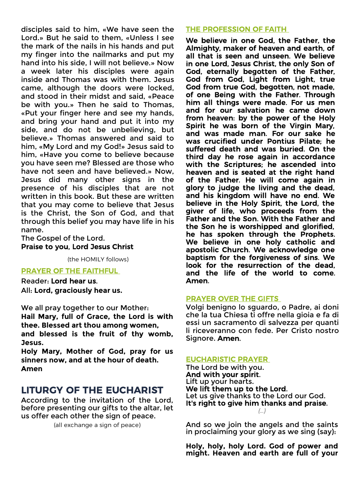disciples said to him, «We have seen the Lord.» But he said to them, «Unless I see the mark of the nails in his hands and put my finger into the nailmarks and put my hand into his side, I will not believe.» Now a week later his disciples were again inside and Thomas was with them. Jesus came, although the doors were locked, and stood in their midst and said, «Peace be with you.» Then he said to Thomas, «Put your finger here and see my hands, and bring your hand and put it into my side, and do not be unbelieving, but believe.» Thomas answered and said to him, «My Lord and my God!» Jesus said to him, «Have you come to believe because you have seen me? Blessed are those who have not seen and have believed.» Now, Jesus did many other signs in the presence of his disciples that are not written in this book. But these are written that you may come to believe that Jesus is the Christ, the Son of God, and that through this belief you may have life in his name.

The Gospel of the Lord.

# Praise to you, Lord Jesus Christ

(the HOMILY follows)

# PRAYER OF THE FAITHFUL

Reader: Lord hear us. All: Lord, graciously hear us.

We all pray together to our Mother: Hail Mary, full of Grace, the Lord is with thee. Blessed art thou among women, and blessed is the fruit of thy womb, Jesus.

Holy Mary, Mother of God, pray for us sinners now, and at the hour of death. Amen

# LITURGY OF THE EUCHARIST

According to the invitation of the Lord, before presenting our gifts to the altar, let us offer each other the sign of peace.

(all exchange a sign of peace)

# THE PROFESSION OF FAITH

We believe in one God, the Father, the Almighty, maker of heaven and earth, of all that is seen and unseen. We believe in one Lord, Jesus Christ, the only Son of God, eternally begotten of the Father, God from God, Light from Light, true God from true God, begotten, not made, of one Being with the Father. Through him all things were made. For us men and for our salvation he came down from heaven: by the power of the Holy Spirit he was born of the Virgin Mary, and was made man. For our sake he was crucified under Pontius Pilate; he suffered death and was buried. On the third day he rose again in accordance with the Scriptures; he ascended into heaven and is seated at the right hand of the Father. He will come again in glory to judge the living and the dead, and his kingdom will have no end. We believe in the Holy Spirit, the Lord, the giver of life, who proceeds from the Father and the Son. With the Father and the Son he is worshipped and glorified, he has spoken through the Prophets. We believe in one holy catholic and apostolic Church. We acknowledge one baptism for the forgiveness of sins. We look for the resurrection of the dead, and the life of the world to come. Amen.

# PRAYER OVER THE GIFTS

Volgi benigno lo sguardo, o Padre, ai doni che la tua Chiesa ti offre nella gioia e fa di essi un sacramento di salvezza per quanti li riceveranno con fede. Per Cristo nostro Signore. Amen.

# EUCHARISTIC PRAYER

The Lord be with you. And with your spirit. Lift up your hearts. We lift them up to the Lord. Let us give thanks to the Lord our God. It's right to give him thanks and praise.  $\left( \begin{array}{c} \end{array} \right)$ 

And so we join the angels and the saints in proclaiming your glory as we sing (say):

Holy, holy, holy Lord. God of power and might. Heaven and earth are full of your